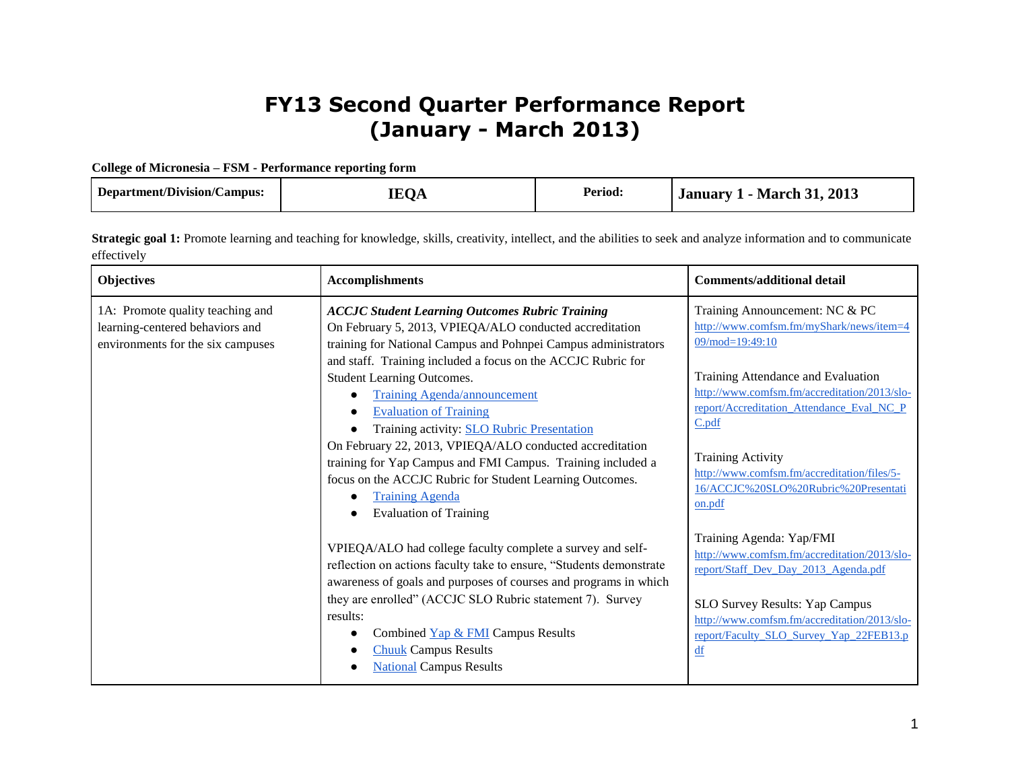## **FY13 Second Quarter Performance Report (January - March 2013)**

## **College of Micronesia – FSM - Performance reporting form**

| Department/Division/Campus: | <b>IEOA</b> | <b>Period:</b> | <b>January 1 - March 31, 2013</b> |  |
|-----------------------------|-------------|----------------|-----------------------------------|--|
|-----------------------------|-------------|----------------|-----------------------------------|--|

Strategic goal 1: Promote learning and teaching for knowledge, skills, creativity, intellect, and the abilities to seek and analyze information and to communicate effectively

| Objectives                                                                                               | <b>Accomplishments</b>                                                                                                                                                                                                                                                                                                                                                                                                                                                                                                                                                                                                                                           | <b>Comments/additional detail</b>                                                                                                                                                                                                                                                                                                                                          |
|----------------------------------------------------------------------------------------------------------|------------------------------------------------------------------------------------------------------------------------------------------------------------------------------------------------------------------------------------------------------------------------------------------------------------------------------------------------------------------------------------------------------------------------------------------------------------------------------------------------------------------------------------------------------------------------------------------------------------------------------------------------------------------|----------------------------------------------------------------------------------------------------------------------------------------------------------------------------------------------------------------------------------------------------------------------------------------------------------------------------------------------------------------------------|
| 1A: Promote quality teaching and<br>learning-centered behaviors and<br>environments for the six campuses | <b>ACCJC Student Learning Outcomes Rubric Training</b><br>On February 5, 2013, VPIEQA/ALO conducted accreditation<br>training for National Campus and Pohnpei Campus administrators<br>and staff. Training included a focus on the ACCJC Rubric for<br><b>Student Learning Outcomes.</b><br><b>Training Agenda/announcement</b><br><b>Evaluation of Training</b><br>Training activity: SLO Rubric Presentation<br>On February 22, 2013, VPIEQA/ALO conducted accreditation<br>training for Yap Campus and FMI Campus. Training included a<br>focus on the ACCJC Rubric for Student Learning Outcomes.<br><b>Training Agenda</b><br><b>Evaluation of Training</b> | Training Announcement: NC & PC<br>http://www.comfsm.fm/myShark/news/item=4<br>$09/mol = 19:49:10$<br>Training Attendance and Evaluation<br>http://www.comfsm.fm/accreditation/2013/slo-<br>report/Accreditation_Attendance_Eval_NC_P<br>C.pdf<br><b>Training Activity</b><br>http://www.comfsm.fm/accreditation/files/5-<br>16/ACCJC%20SLO%20Rubric%20Presentati<br>on.pdf |
|                                                                                                          | VPIEQA/ALO had college faculty complete a survey and self-<br>reflection on actions faculty take to ensure, "Students demonstrate<br>awareness of goals and purposes of courses and programs in which<br>they are enrolled" (ACCJC SLO Rubric statement 7). Survey<br>results:<br>Combined Yap & FMI Campus Results<br><b>Chuuk</b> Campus Results<br><b>National Campus Results</b>                                                                                                                                                                                                                                                                             | Training Agenda: Yap/FMI<br>http://www.comfsm.fm/accreditation/2013/slo-<br>report/Staff Dev Day 2013 Agenda.pdf<br>SLO Survey Results: Yap Campus<br>http://www.comfsm.fm/accreditation/2013/slo-<br>report/Faculty SLO Survey Yap 22FEB13.p<br>df                                                                                                                        |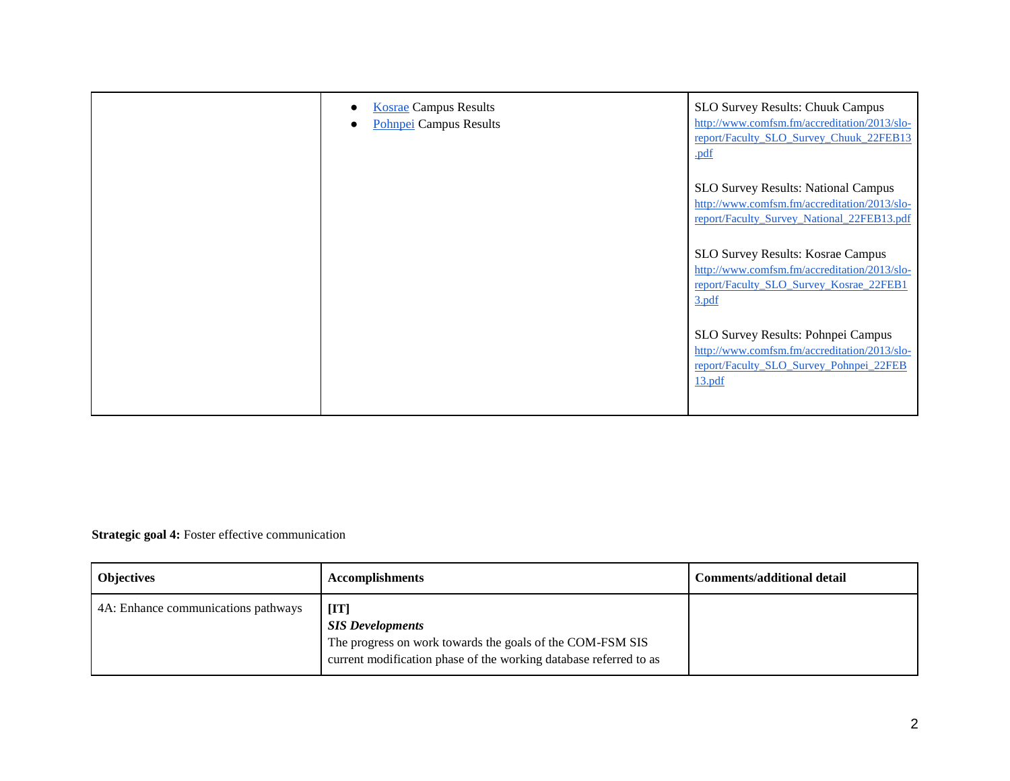| <b>Kosrae Campus Results</b><br>Pohnpei Campus Results | <b>SLO Survey Results: Chuuk Campus</b><br>http://www.comfsm.fm/accreditation/2013/slo-<br>report/Faculty SLO Survey Chuuk 22FEB13<br>.pdf |
|--------------------------------------------------------|--------------------------------------------------------------------------------------------------------------------------------------------|
|                                                        | <b>SLO Survey Results: National Campus</b><br>http://www.comfsm.fm/accreditation/2013/slo-<br>report/Faculty_Survey_National_22FEB13.pdf   |
|                                                        | SLO Survey Results: Kosrae Campus<br>http://www.comfsm.fm/accreditation/2013/slo-<br>report/Faculty SLO Survey Kosrae 22FEB1<br>3.pdf      |
|                                                        | SLO Survey Results: Pohnpei Campus<br>http://www.comfsm.fm/accreditation/2013/slo-<br>report/Faculty SLO Survey Pohnpei 22FEB<br>13.pdf    |

**Strategic goal 4:** Foster effective communication

| <b>Objectives</b>                   | <b>Accomplishments</b>                                                                                                                                                                 | Comments/additional detail |
|-------------------------------------|----------------------------------------------------------------------------------------------------------------------------------------------------------------------------------------|----------------------------|
| 4A: Enhance communications pathways | $[\mathbf{I} \mathbf{T}]$<br><b>SIS Developments</b><br>The progress on work towards the goals of the COM-FSM SIS<br>current modification phase of the working database referred to as |                            |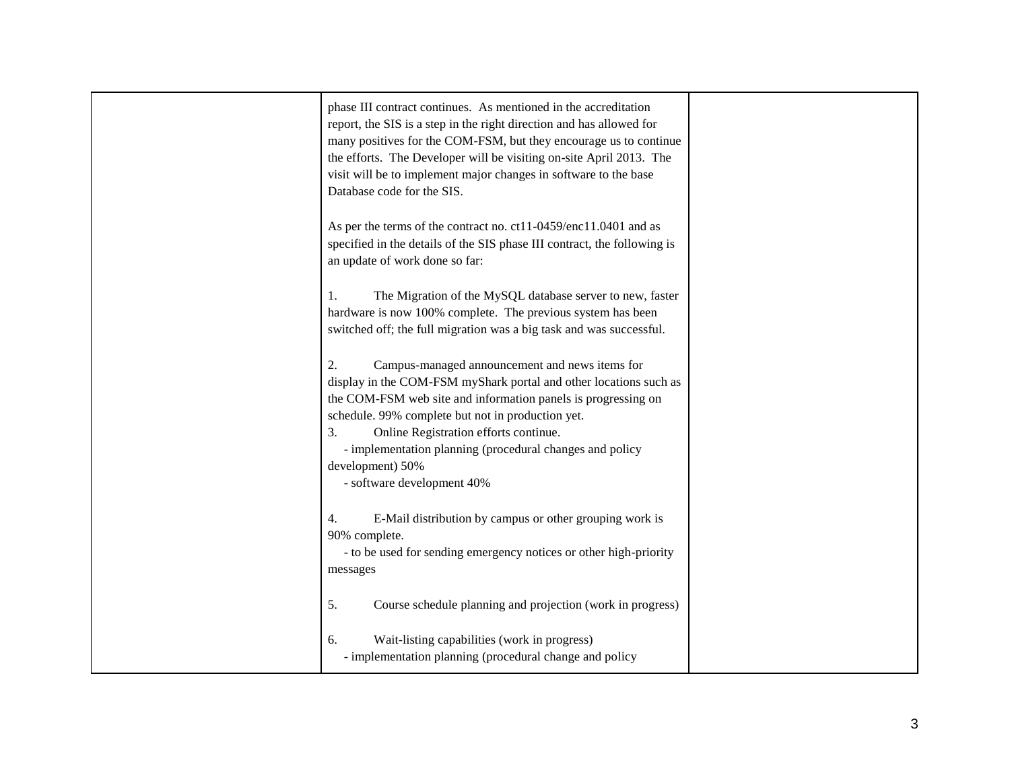| phase III contract continues. As mentioned in the accreditation<br>report, the SIS is a step in the right direction and has allowed for<br>many positives for the COM-FSM, but they encourage us to continue<br>the efforts. The Developer will be visiting on-site April 2013. The<br>visit will be to implement major changes in software to the base<br>Database code for the SIS. |  |
|---------------------------------------------------------------------------------------------------------------------------------------------------------------------------------------------------------------------------------------------------------------------------------------------------------------------------------------------------------------------------------------|--|
| As per the terms of the contract no. ct11-0459/enc11.0401 and as<br>specified in the details of the SIS phase III contract, the following is<br>an update of work done so far:                                                                                                                                                                                                        |  |
| The Migration of the MySQL database server to new, faster<br>1.<br>hardware is now 100% complete. The previous system has been<br>switched off; the full migration was a big task and was successful.                                                                                                                                                                                 |  |
| 2.<br>Campus-managed announcement and news items for<br>display in the COM-FSM myShark portal and other locations such as<br>the COM-FSM web site and information panels is progressing on<br>schedule. 99% complete but not in production yet.                                                                                                                                       |  |
| 3.<br>Online Registration efforts continue.<br>- implementation planning (procedural changes and policy<br>development) 50%<br>- software development 40%                                                                                                                                                                                                                             |  |
| E-Mail distribution by campus or other grouping work is<br>4.<br>90% complete.<br>- to be used for sending emergency notices or other high-priority<br>messages                                                                                                                                                                                                                       |  |
| 5.<br>Course schedule planning and projection (work in progress)                                                                                                                                                                                                                                                                                                                      |  |
| Wait-listing capabilities (work in progress)<br>6.<br>- implementation planning (procedural change and policy                                                                                                                                                                                                                                                                         |  |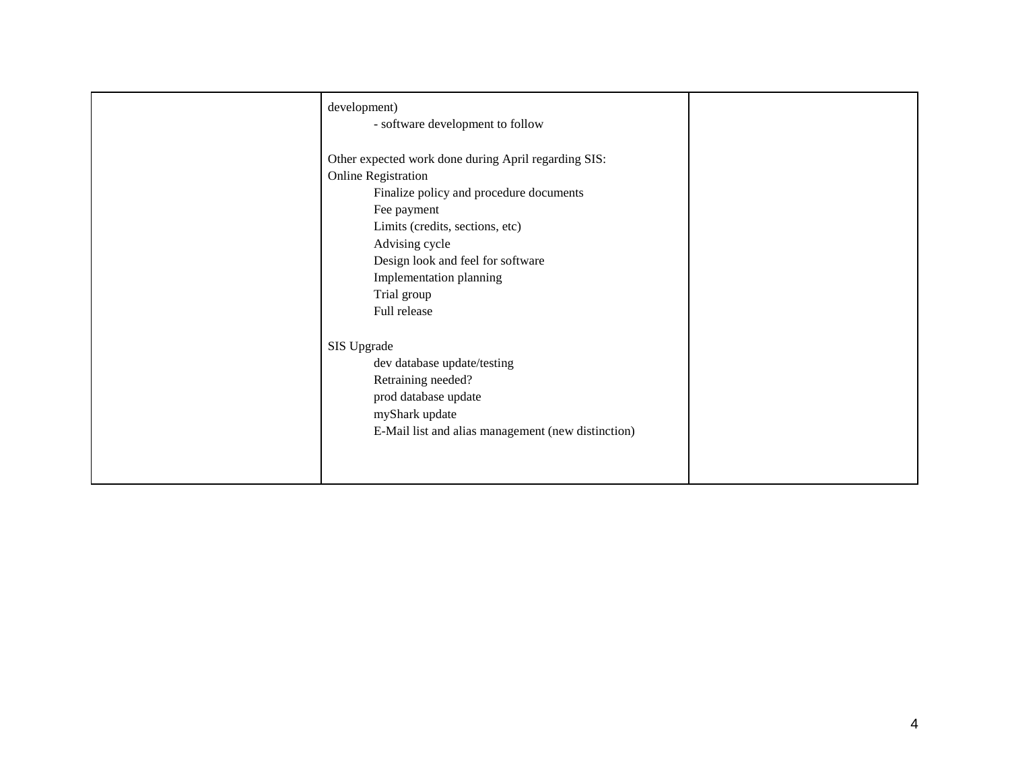| development)<br>- software development to follow                                                                                                                                                                                                                                                 |  |
|--------------------------------------------------------------------------------------------------------------------------------------------------------------------------------------------------------------------------------------------------------------------------------------------------|--|
| Other expected work done during April regarding SIS:<br><b>Online Registration</b><br>Finalize policy and procedure documents<br>Fee payment<br>Limits (credits, sections, etc)<br>Advising cycle<br>Design look and feel for software<br>Implementation planning<br>Trial group<br>Full release |  |
| SIS Upgrade<br>dev database update/testing<br>Retraining needed?<br>prod database update<br>myShark update<br>E-Mail list and alias management (new distinction)                                                                                                                                 |  |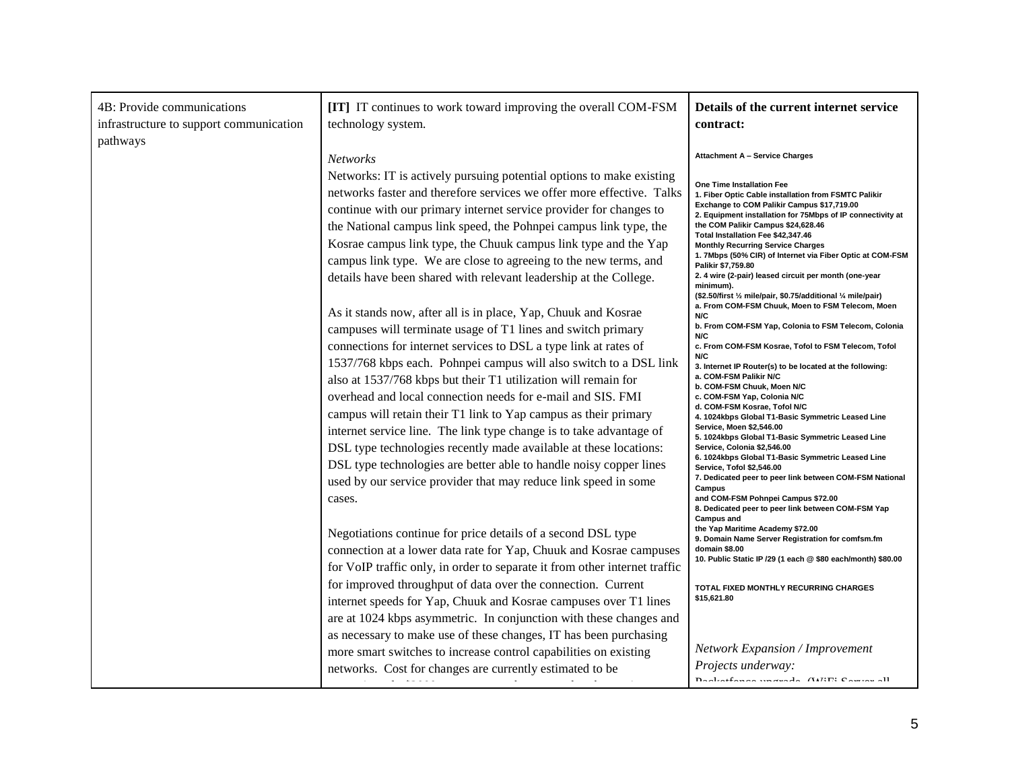| 4B: Provide communications<br>infrastructure to support communication<br>pathways | [IT] IT continues to work toward improving the overall COM-FSM<br>technology system.                                                                                                                                                                                                                                                                                                                                                                                                                 | Details of the current internet service<br>contract:                                                                                                                                                                                                                                                                                                                                                                                                              |
|-----------------------------------------------------------------------------------|------------------------------------------------------------------------------------------------------------------------------------------------------------------------------------------------------------------------------------------------------------------------------------------------------------------------------------------------------------------------------------------------------------------------------------------------------------------------------------------------------|-------------------------------------------------------------------------------------------------------------------------------------------------------------------------------------------------------------------------------------------------------------------------------------------------------------------------------------------------------------------------------------------------------------------------------------------------------------------|
|                                                                                   | <b>Networks</b>                                                                                                                                                                                                                                                                                                                                                                                                                                                                                      | <b>Attachment A - Service Charges</b>                                                                                                                                                                                                                                                                                                                                                                                                                             |
|                                                                                   | Networks: IT is actively pursuing potential options to make existing<br>networks faster and therefore services we offer more effective. Talks<br>continue with our primary internet service provider for changes to<br>the National campus link speed, the Pohnpei campus link type, the<br>Kosrae campus link type, the Chuuk campus link type and the Yap<br>campus link type. We are close to agreeing to the new terms, and<br>details have been shared with relevant leadership at the College. | One Time Installation Fee<br>1. Fiber Optic Cable installation from FSMTC Palikir<br>Exchange to COM Palikir Campus \$17,719.00<br>2. Equipment installation for 75Mbps of IP connectivity at<br>the COM Palikir Campus \$24,628.46<br>Total Installation Fee \$42,347.46<br><b>Monthly Recurring Service Charges</b><br>1. 7Mbps (50% CIR) of Internet via Fiber Optic at COM-FSM<br>Palikir \$7,759.80<br>2. 4 wire (2-pair) leased circuit per month (one-year |
|                                                                                   | As it stands now, after all is in place, Yap, Chuuk and Kosrae                                                                                                                                                                                                                                                                                                                                                                                                                                       | minimum).<br>(\$2.50/first 1/2 mile/pair, \$0.75/additional 1/4 mile/pair)<br>a. From COM-FSM Chuuk, Moen to FSM Telecom, Moen<br>N/C                                                                                                                                                                                                                                                                                                                             |
|                                                                                   | campuses will terminate usage of T1 lines and switch primary                                                                                                                                                                                                                                                                                                                                                                                                                                         | b. From COM-FSM Yap, Colonia to FSM Telecom, Colonia                                                                                                                                                                                                                                                                                                                                                                                                              |
|                                                                                   | connections for internet services to DSL a type link at rates of                                                                                                                                                                                                                                                                                                                                                                                                                                     | N/C<br>c. From COM-FSM Kosrae, Tofol to FSM Telecom, Tofol                                                                                                                                                                                                                                                                                                                                                                                                        |
|                                                                                   | 1537/768 kbps each. Pohnpei campus will also switch to a DSL link                                                                                                                                                                                                                                                                                                                                                                                                                                    | N/C<br>3. Internet IP Router(s) to be located at the following:                                                                                                                                                                                                                                                                                                                                                                                                   |
|                                                                                   | also at 1537/768 kbps but their T1 utilization will remain for                                                                                                                                                                                                                                                                                                                                                                                                                                       | a. COM-FSM Palikir N/C<br>b. COM-FSM Chuuk, Moen N/C                                                                                                                                                                                                                                                                                                                                                                                                              |
|                                                                                   | overhead and local connection needs for e-mail and SIS. FMI                                                                                                                                                                                                                                                                                                                                                                                                                                          | c. COM-FSM Yap, Colonia N/C<br>d. COM-FSM Kosrae, Tofol N/C                                                                                                                                                                                                                                                                                                                                                                                                       |
|                                                                                   | campus will retain their T1 link to Yap campus as their primary<br>internet service line. The link type change is to take advantage of                                                                                                                                                                                                                                                                                                                                                               | 4. 1024kbps Global T1-Basic Symmetric Leased Line<br>Service, Moen \$2,546.00                                                                                                                                                                                                                                                                                                                                                                                     |
|                                                                                   | DSL type technologies recently made available at these locations:                                                                                                                                                                                                                                                                                                                                                                                                                                    | 5. 1024kbps Global T1-Basic Symmetric Leased Line<br>Service, Colonia \$2,546.00                                                                                                                                                                                                                                                                                                                                                                                  |
|                                                                                   | DSL type technologies are better able to handle noisy copper lines                                                                                                                                                                                                                                                                                                                                                                                                                                   | 6. 1024kbps Global T1-Basic Symmetric Leased Line<br>Service, Tofol \$2,546.00                                                                                                                                                                                                                                                                                                                                                                                    |
|                                                                                   | used by our service provider that may reduce link speed in some                                                                                                                                                                                                                                                                                                                                                                                                                                      | 7. Dedicated peer to peer link between COM-FSM National<br>Campus                                                                                                                                                                                                                                                                                                                                                                                                 |
|                                                                                   | cases.                                                                                                                                                                                                                                                                                                                                                                                                                                                                                               | and COM-FSM Pohnpei Campus \$72.00<br>8. Dedicated peer to peer link between COM-FSM Yap<br><b>Campus and</b>                                                                                                                                                                                                                                                                                                                                                     |
|                                                                                   | Negotiations continue for price details of a second DSL type                                                                                                                                                                                                                                                                                                                                                                                                                                         | the Yap Maritime Academy \$72.00<br>9. Domain Name Server Registration for comfsm.fm                                                                                                                                                                                                                                                                                                                                                                              |
|                                                                                   | connection at a lower data rate for Yap, Chuuk and Kosrae campuses                                                                                                                                                                                                                                                                                                                                                                                                                                   | domain \$8.00<br>10. Public Static IP /29 (1 each @ \$80 each/month) \$80.00                                                                                                                                                                                                                                                                                                                                                                                      |
|                                                                                   | for VoIP traffic only, in order to separate it from other internet traffic                                                                                                                                                                                                                                                                                                                                                                                                                           |                                                                                                                                                                                                                                                                                                                                                                                                                                                                   |
|                                                                                   | for improved throughput of data over the connection. Current                                                                                                                                                                                                                                                                                                                                                                                                                                         | TOTAL FIXED MONTHLY RECURRING CHARGES<br>\$15,621.80                                                                                                                                                                                                                                                                                                                                                                                                              |
|                                                                                   | internet speeds for Yap, Chuuk and Kosrae campuses over T1 lines<br>are at 1024 kbps asymmetric. In conjunction with these changes and                                                                                                                                                                                                                                                                                                                                                               |                                                                                                                                                                                                                                                                                                                                                                                                                                                                   |
|                                                                                   | as necessary to make use of these changes, IT has been purchasing                                                                                                                                                                                                                                                                                                                                                                                                                                    |                                                                                                                                                                                                                                                                                                                                                                                                                                                                   |
|                                                                                   | more smart switches to increase control capabilities on existing                                                                                                                                                                                                                                                                                                                                                                                                                                     | <b>Network Expansion / Improvement</b>                                                                                                                                                                                                                                                                                                                                                                                                                            |
|                                                                                   | networks. Cost for changes are currently estimated to be<br>$\alpha$ . In the second second $\alpha$                                                                                                                                                                                                                                                                                                                                                                                                 | Projects underway:<br>Dogleathanan wasanda (WEE Course off                                                                                                                                                                                                                                                                                                                                                                                                        |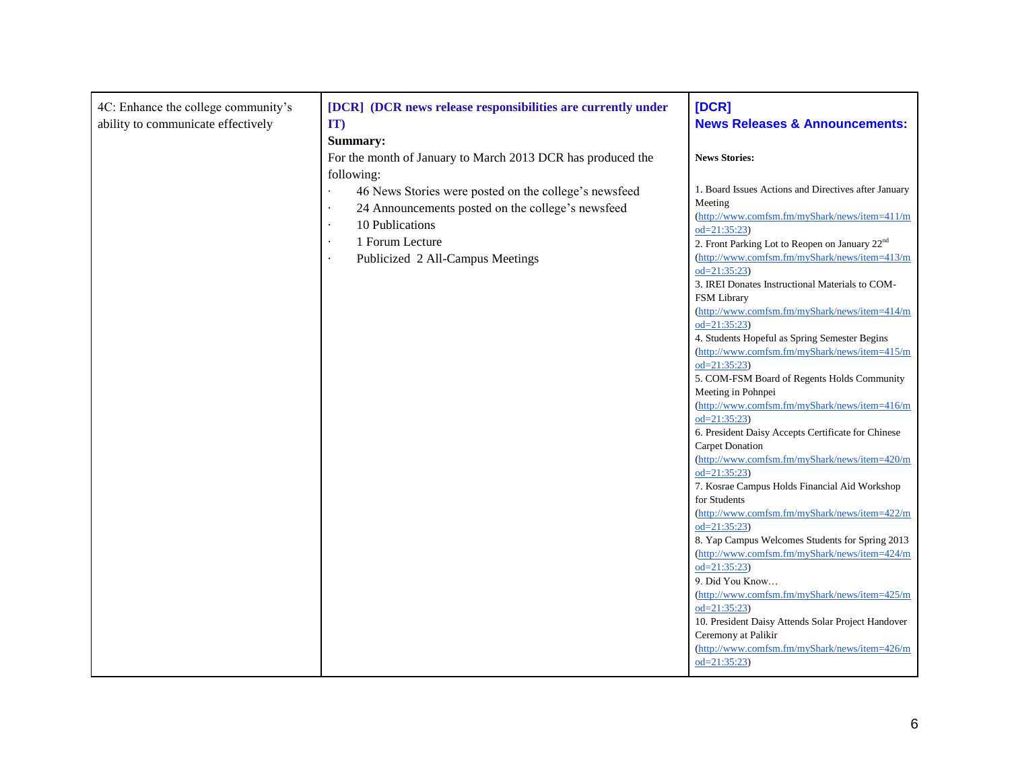| 4C: Enhance the college community's<br>ability to communicate effectively | [DCR] (DCR news release responsibilities are currently under<br>IT)<br>Summary:                                                                                                                                                                                   | [DCR]<br><b>News Releases &amp; Announcements:</b>                                                                                                                                                                                                                                                                                                                                                                                                                                                                                                                                                                                                                                                                                                                                                                                                                                                                                                                                                                                                                                                                                                                                                                                                                                                                                                |
|---------------------------------------------------------------------------|-------------------------------------------------------------------------------------------------------------------------------------------------------------------------------------------------------------------------------------------------------------------|---------------------------------------------------------------------------------------------------------------------------------------------------------------------------------------------------------------------------------------------------------------------------------------------------------------------------------------------------------------------------------------------------------------------------------------------------------------------------------------------------------------------------------------------------------------------------------------------------------------------------------------------------------------------------------------------------------------------------------------------------------------------------------------------------------------------------------------------------------------------------------------------------------------------------------------------------------------------------------------------------------------------------------------------------------------------------------------------------------------------------------------------------------------------------------------------------------------------------------------------------------------------------------------------------------------------------------------------------|
|                                                                           | For the month of January to March 2013 DCR has produced the<br>following:<br>46 News Stories were posted on the college's newsfeed<br>24 Announcements posted on the college's newsfeed<br>10 Publications<br>1 Forum Lecture<br>Publicized 2 All-Campus Meetings | <b>News Stories:</b><br>1. Board Issues Actions and Directives after January<br>Meeting<br>(http://www.comfsm.fm/myShark/news/item=411/m<br>$od = 21:35:23$<br>2. Front Parking Lot to Reopen on January 22 <sup>nd</sup><br>(http://www.comfsm.fm/myShark/news/item=413/m<br>$od = 21:35:23$<br>3. IREI Donates Instructional Materials to COM-<br><b>FSM</b> Library<br>(http://www.comfsm.fm/myShark/news/item=414/m<br>$od = 21:35:23$<br>4. Students Hopeful as Spring Semester Begins<br>(http://www.comfsm.fm/myShark/news/item=415/m<br>$od=21:35:23$<br>5. COM-FSM Board of Regents Holds Community<br>Meeting in Pohnpei<br>(http://www.comfsm.fm/myShark/news/item=416/m<br>$od=21:35:23$<br>6. President Daisy Accepts Certificate for Chinese<br>Carpet Donation<br>(http://www.comfsm.fm/myShark/news/item=420/m<br>$od = 21:35:23$<br>7. Kosrae Campus Holds Financial Aid Workshop<br>for Students<br>(http://www.comfsm.fm/myShark/news/item=422/m<br>$od = 21:35:23$<br>8. Yap Campus Welcomes Students for Spring 2013<br>(http://www.comfsm.fm/myShark/news/item=424/m<br>$od=21:35:23$<br>9. Did You Know<br>(http://www.comfsm.fm/myShark/news/item=425/m<br>$od = 21:35:23$<br>10. President Daisy Attends Solar Project Handover<br>Ceremony at Palikir<br>(http://www.comfsm.fm/myShark/news/item=426/m<br>$od=21:35:23$ |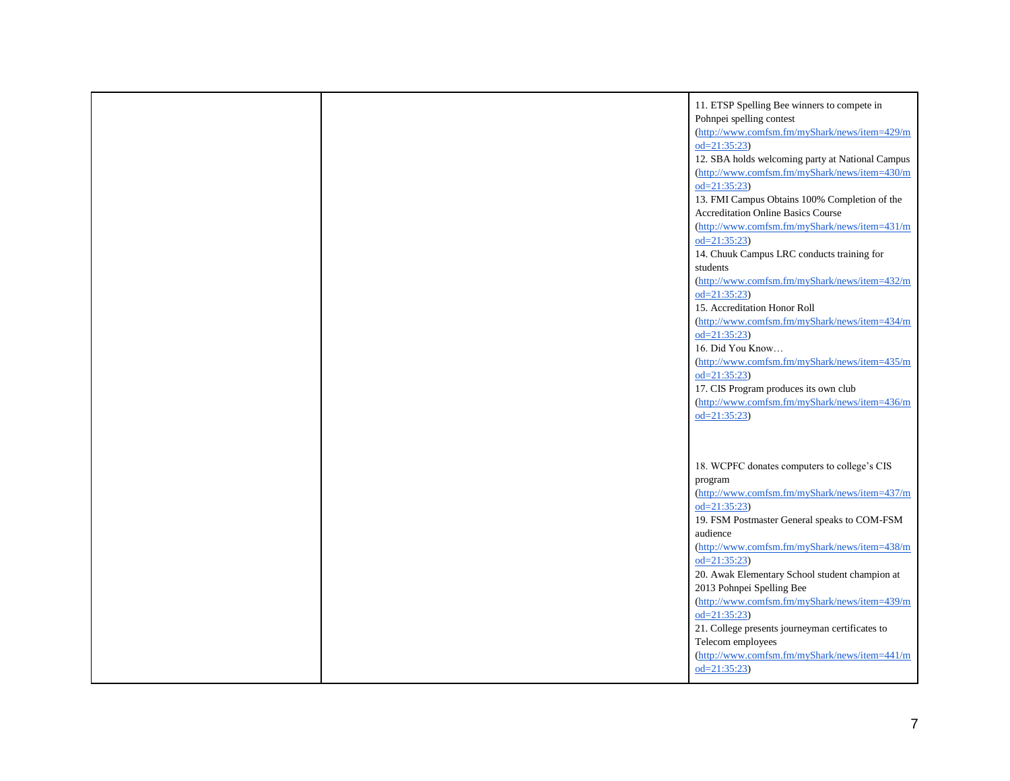|  | 11. ETSP Spelling Bee winners to compete in<br>Pohnpei spelling contest<br>(http://www.comfsm.fm/myShark/news/item=429/m<br>$od = 21:35:23$<br>12. SBA holds welcoming party at National Campus<br>(http://www.comfsm.fm/myShark/news/item=430/m<br>$od = 21:35:23$<br>13. FMI Campus Obtains 100% Completion of the<br><b>Accreditation Online Basics Course</b><br>(http://www.comfsm.fm/myShark/news/item=431/m<br>$od=21:35:23$<br>14. Chuuk Campus LRC conducts training for<br>students<br>(http://www.comfsm.fm/myShark/news/item=432/m<br>$od=21:35:23$<br>15. Accreditation Honor Roll<br>(http://www.comfsm.fm/myShark/news/item=434/m<br>$od=21:35:23$<br>16. Did You Know<br>(http://www.comfsm.fm/myShark/news/item=435/m<br>$od=21:35:23$<br>17. CIS Program produces its own club<br>(http://www.comfsm.fm/myShark/news/item=436/m<br>$od=21:35:23$ |
|--|--------------------------------------------------------------------------------------------------------------------------------------------------------------------------------------------------------------------------------------------------------------------------------------------------------------------------------------------------------------------------------------------------------------------------------------------------------------------------------------------------------------------------------------------------------------------------------------------------------------------------------------------------------------------------------------------------------------------------------------------------------------------------------------------------------------------------------------------------------------------|
|  | 18. WCPFC donates computers to college's CIS<br>program<br>(http://www.comfsm.fm/myShark/news/item=437/m<br>$od=21:35:23$<br>19. FSM Postmaster General speaks to COM-FSM<br>audience<br>(http://www.comfsm.fm/myShark/news/item=438/m<br>$od = 21:35:23$<br>20. Awak Elementary School student champion at<br>2013 Pohnpei Spelling Bee<br>(http://www.comfsm.fm/myShark/news/item=439/m<br>$od=21:35:23$<br>21. College presents journeyman certificates to<br>Telecom employees<br>(http://www.comfsm.fm/myShark/news/item=441/m<br>$od=21:35:23$                                                                                                                                                                                                                                                                                                               |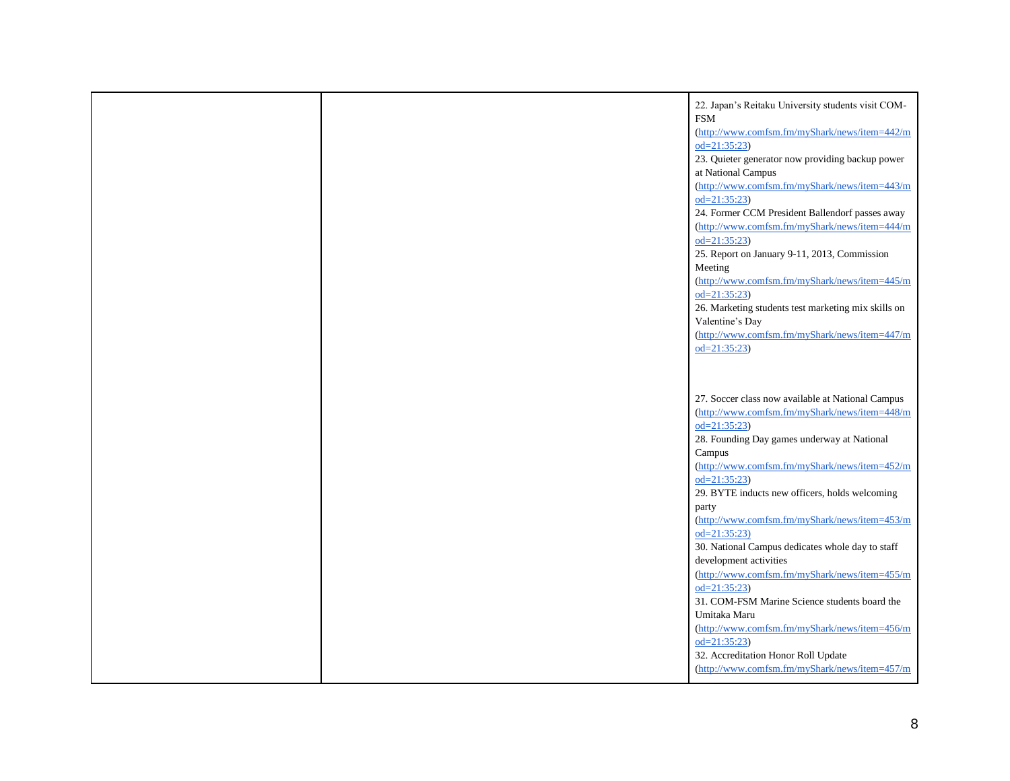|  | 22. Japan's Reitaku University students visit COM-                         |
|--|----------------------------------------------------------------------------|
|  | <b>FSM</b>                                                                 |
|  | (http://www.comfsm.fm/myShark/news/item=442/m                              |
|  | $od=21:35:23$                                                              |
|  | 23. Quieter generator now providing backup power                           |
|  | at National Campus                                                         |
|  | (http://www.comfsm.fm/myShark/news/item=443/m                              |
|  | $od=21:35:23$                                                              |
|  | 24. Former CCM President Ballendorf passes away                            |
|  | (http://www.comfsm.fm/myShark/news/item=444/m                              |
|  | $od=21:35:23$                                                              |
|  | 25. Report on January 9-11, 2013, Commission                               |
|  | Meeting                                                                    |
|  | (http://www.comfsm.fm/myShark/news/item=445/m                              |
|  | $od=21:35:23$                                                              |
|  | 26. Marketing students test marketing mix skills on                        |
|  | Valentine's Day                                                            |
|  | (http://www.comfsm.fm/myShark/news/item=447/m                              |
|  | $od=21:35:23$                                                              |
|  |                                                                            |
|  |                                                                            |
|  |                                                                            |
|  | 27. Soccer class now available at National Campus                          |
|  | (http://www.comfsm.fm/myShark/news/item=448/m                              |
|  | $od=21:35:23$                                                              |
|  | 28. Founding Day games underway at National                                |
|  | Campus                                                                     |
|  | (http://www.comfsm.fm/myShark/news/item=452/m                              |
|  | $od=21:35:23$                                                              |
|  | 29. BYTE inducts new officers, holds welcoming                             |
|  | party<br>(http://www.comfsm.fm/myShark/news/item=453/m                     |
|  | $od=21:35:23$                                                              |
|  |                                                                            |
|  | 30. National Campus dedicates whole day to staff<br>development activities |
|  |                                                                            |
|  | (http://www.comfsm.fm/myShark/news/item=455/m<br>$od=21:35:23$             |
|  | 31. COM-FSM Marine Science students board the                              |
|  | Umitaka Maru                                                               |
|  | (http://www.comfsm.fm/myShark/news/item=456/m                              |
|  | $od=21:35:23$                                                              |
|  | 32. Accreditation Honor Roll Update                                        |
|  | (http://www.comfsm.fm/myShark/news/item=457/m                              |
|  |                                                                            |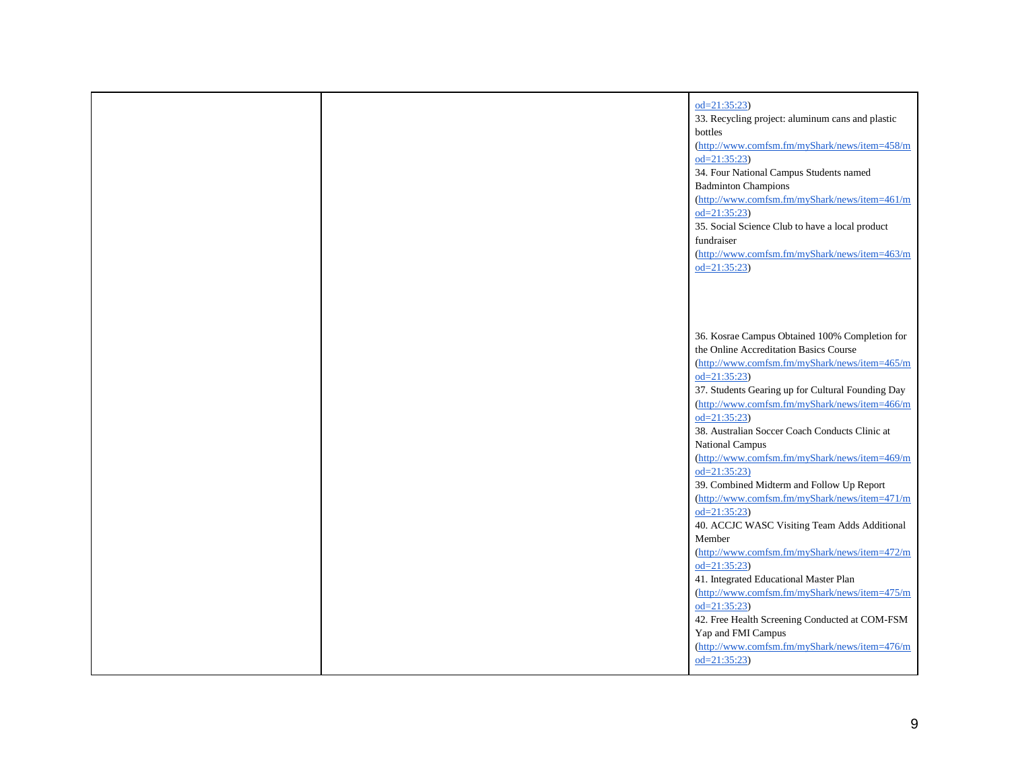|  | $od=21:35:23$<br>33. Recycling project: aluminum cans and plastic<br>bottles<br>(http://www.comfsm.fm/myShark/news/item=458/m<br>$od=21:35:23$<br>34. Four National Campus Students named<br><b>Badminton Champions</b><br>(http://www.comfsm.fm/myShark/news/item=461/m<br>$od=21:35:23$<br>35. Social Science Club to have a local product<br>fundraiser<br>(http://www.comfsm.fm/myShark/news/item=463/m<br>$od = 21:35:23$                                                                                                                                                                                                                                      |
|--|---------------------------------------------------------------------------------------------------------------------------------------------------------------------------------------------------------------------------------------------------------------------------------------------------------------------------------------------------------------------------------------------------------------------------------------------------------------------------------------------------------------------------------------------------------------------------------------------------------------------------------------------------------------------|
|  | 36. Kosrae Campus Obtained 100% Completion for<br>the Online Accreditation Basics Course<br>(http://www.comfsm.fm/myShark/news/item=465/m<br>$od=21:35:23$<br>37. Students Gearing up for Cultural Founding Day<br>(http://www.comfsm.fm/myShark/news/item=466/m<br>$od=21:35:23$<br>38. Australian Soccer Coach Conducts Clinic at<br>National Campus<br>(http://www.comfsm.fm/myShark/news/item=469/m<br>$od=21:35:23$<br>39. Combined Midterm and Follow Up Report<br>(http://www.comfsm.fm/myShark/news/item=471/m<br>$od=21:35:23$<br>40. ACCJC WASC Visiting Team Adds Additional<br>Member<br>(http://www.comfsm.fm/myShark/news/item=472/m<br>$od=21:35:23$ |
|  | 41. Integrated Educational Master Plan<br>(http://www.comfsm.fm/myShark/news/item=475/m<br>$od=21:35:23$<br>42. Free Health Screening Conducted at COM-FSM<br>Yap and FMI Campus<br>(http://www.comfsm.fm/myShark/news/item=476/m<br>$od = 21:35:23$                                                                                                                                                                                                                                                                                                                                                                                                                |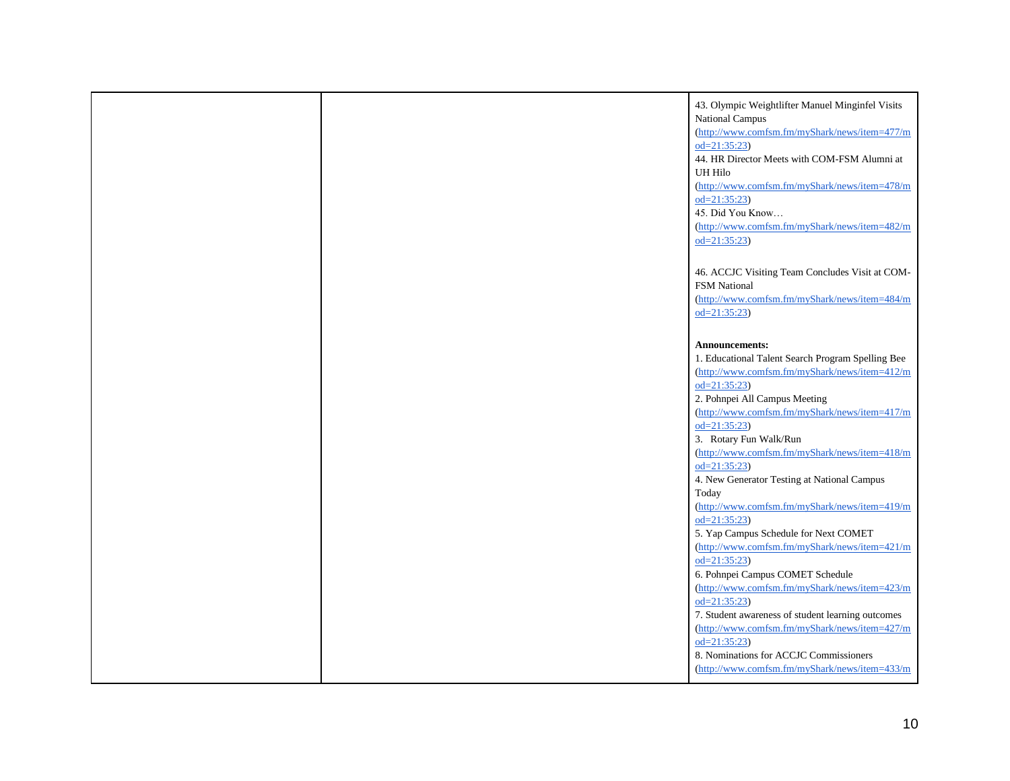|  | 43. Olympic Weightlifter Manuel Minginfel Visits<br>National Campus<br>(http://www.comfsm.fm/myShark/news/item=477/m<br>$od = 21:35:23$<br>44. HR Director Meets with COM-FSM Alumni at<br>UH Hilo<br>(http://www.comfsm.fm/myShark/news/item=478/m |
|--|-----------------------------------------------------------------------------------------------------------------------------------------------------------------------------------------------------------------------------------------------------|
|  | $od = 21:35:23$<br>45. Did You Know<br>(http://www.comfsm.fm/myShark/news/item=482/m<br>$od=21:35:23$                                                                                                                                               |
|  | 46. ACCJC Visiting Team Concludes Visit at COM-<br>FSM National<br>(http://www.comfsm.fm/myShark/news/item=484/m<br>$od = 21:35:23$                                                                                                                 |
|  | <b>Announcements:</b><br>1. Educational Talent Search Program Spelling Bee<br>(http://www.comfsm.fm/myShark/news/item=412/m<br>$od=21:35:23$<br>2. Pohnpei All Campus Meeting                                                                       |
|  | (http://www.comfsm.fm/myShark/news/item=417/m<br>$od=21:35:23$<br>3. Rotary Fun Walk/Run<br>(http://www.comfsm.fm/myShark/news/item=418/m<br>$od=21:35:23$                                                                                          |
|  | 4. New Generator Testing at National Campus<br>Today<br>(http://www.comfsm.fm/myShark/news/item=419/m<br>$od=21:35:23$<br>5. Yap Campus Schedule for Next COMET                                                                                     |
|  | (http://www.comfsm.fm/myShark/news/item=421/m<br>$od=21:35:23$<br>6. Pohnpei Campus COMET Schedule<br>(http://www.comfsm.fm/myShark/news/item=423/m<br>$od=21:35:23$                                                                                |
|  | 7. Student awareness of student learning outcomes<br>(http://www.comfsm.fm/myShark/news/item=427/m<br>$od=21:35:23$<br>8. Nominations for ACCJC Commissioners<br>(http://www.comfsm.fm/myShark/news/item=433/m                                      |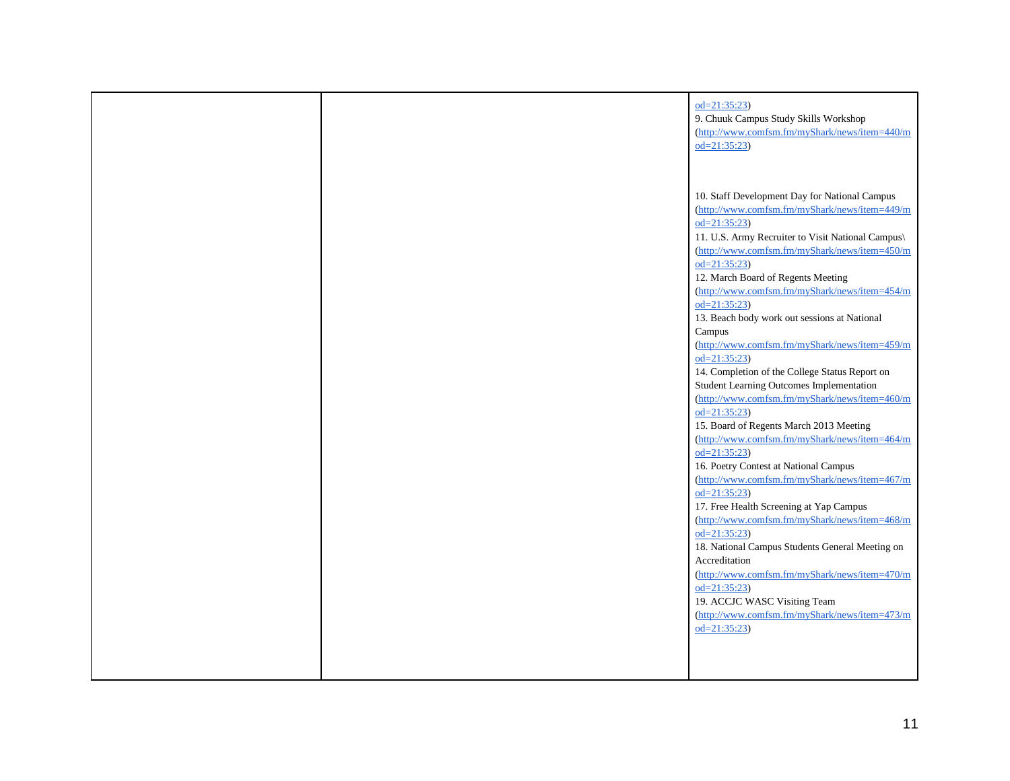|  | $od=21:35:23$<br>9. Chuuk Campus Study Skills Workshop<br>(http://www.comfsm.fm/myShark/news/item=440/m<br>$od=21:35:23$                                                                                                                                                                                                                                                                                                                                                                                                                                                                                                                                                                                                                                                                                                                                                                                                                                                                                                                                                                                                |
|--|-------------------------------------------------------------------------------------------------------------------------------------------------------------------------------------------------------------------------------------------------------------------------------------------------------------------------------------------------------------------------------------------------------------------------------------------------------------------------------------------------------------------------------------------------------------------------------------------------------------------------------------------------------------------------------------------------------------------------------------------------------------------------------------------------------------------------------------------------------------------------------------------------------------------------------------------------------------------------------------------------------------------------------------------------------------------------------------------------------------------------|
|  | 10. Staff Development Day for National Campus<br>(http://www.comfsm.fm/myShark/news/item=449/m<br>$od=21:35:23$<br>11. U.S. Army Recruiter to Visit National Campus\<br>(http://www.comfsm.fm/myShark/news/item=450/m<br>$od=21:35:23$<br>12. March Board of Regents Meeting<br>(http://www.comfsm.fm/myShark/news/item=454/m<br>$od=21:35:23$<br>13. Beach body work out sessions at National<br>Campus<br>(http://www.comfsm.fm/myShark/news/item=459/m<br>$od=21:35:23$<br>14. Completion of the College Status Report on<br>Student Learning Outcomes Implementation<br>(http://www.comfsm.fm/myShark/news/item=460/m<br>$od=21:35:23$<br>15. Board of Regents March 2013 Meeting<br>(http://www.comfsm.fm/myShark/news/item=464/m<br>$od = 21:35:23$<br>16. Poetry Contest at National Campus<br>(http://www.comfsm.fm/myShark/news/item=467/m<br>$od=21:35:23$<br>17. Free Health Screening at Yap Campus<br>(http://www.comfsm.fm/myShark/news/item=468/m<br>$od=21:35:23$<br>18. National Campus Students General Meeting on<br>Accreditation<br>(http://www.comfsm.fm/myShark/news/item=470/m<br>$od=21:35:23$ |
|  | 19. ACCJC WASC Visiting Team<br>(http://www.comfsm.fm/myShark/news/item=473/m<br>$od=21:35:23$                                                                                                                                                                                                                                                                                                                                                                                                                                                                                                                                                                                                                                                                                                                                                                                                                                                                                                                                                                                                                          |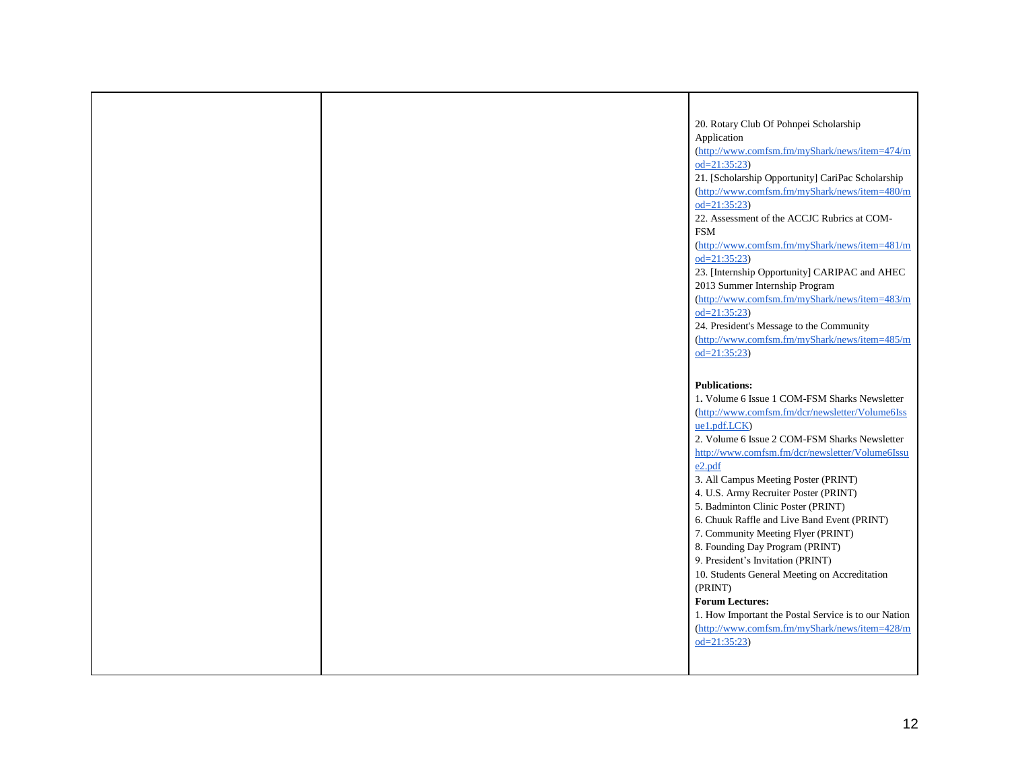|  | 20. Rotary Club Of Pohnpei Scholarship                                      |
|--|-----------------------------------------------------------------------------|
|  | Application                                                                 |
|  | (http://www.comfsm.fm/myShark/news/item=474/m                               |
|  | $od=21:35:23$                                                               |
|  | 21. [Scholarship Opportunity] CariPac Scholarship                           |
|  | (http://www.comfsm.fm/myShark/news/item=480/m                               |
|  | $od=21:35:23$                                                               |
|  | 22. Assessment of the ACCJC Rubrics at COM-                                 |
|  | <b>FSM</b>                                                                  |
|  | (http://www.comfsm.fm/myShark/news/item=481/m                               |
|  | $od=21:35:23$                                                               |
|  | 23. [Internship Opportunity] CARIPAC and AHEC                               |
|  | 2013 Summer Internship Program                                              |
|  | (http://www.comfsm.fm/myShark/news/item=483/m                               |
|  | $od=21:35:23$                                                               |
|  | 24. President's Message to the Community                                    |
|  | (http://www.comfsm.fm/myShark/news/item=485/m                               |
|  | $od=21:35:23$                                                               |
|  |                                                                             |
|  | <b>Publications:</b>                                                        |
|  | 1. Volume 6 Issue 1 COM-FSM Sharks Newsletter                               |
|  | (http://www.comfsm.fm/dcr/newsletter/Volume6Iss                             |
|  | ue1.pdf.LCK)                                                                |
|  | 2. Volume 6 Issue 2 COM-FSM Sharks Newsletter                               |
|  | http://www.comfsm.fm/dcr/newsletter/Volume6Issu                             |
|  | e2.pdf                                                                      |
|  | 3. All Campus Meeting Poster (PRINT)                                        |
|  | 4. U.S. Army Recruiter Poster (PRINT)<br>5. Badminton Clinic Poster (PRINT) |
|  | 6. Chuuk Raffle and Live Band Event (PRINT)                                 |
|  | 7. Community Meeting Flyer (PRINT)                                          |
|  | 8. Founding Day Program (PRINT)                                             |
|  | 9. President's Invitation (PRINT)                                           |
|  | 10. Students General Meeting on Accreditation                               |
|  | (PRINT)                                                                     |
|  | <b>Forum Lectures:</b>                                                      |
|  | 1. How Important the Postal Service is to our Nation                        |
|  | (http://www.comfsm.fm/myShark/news/item=428/m                               |
|  | $od=21:35:23$                                                               |
|  |                                                                             |
|  |                                                                             |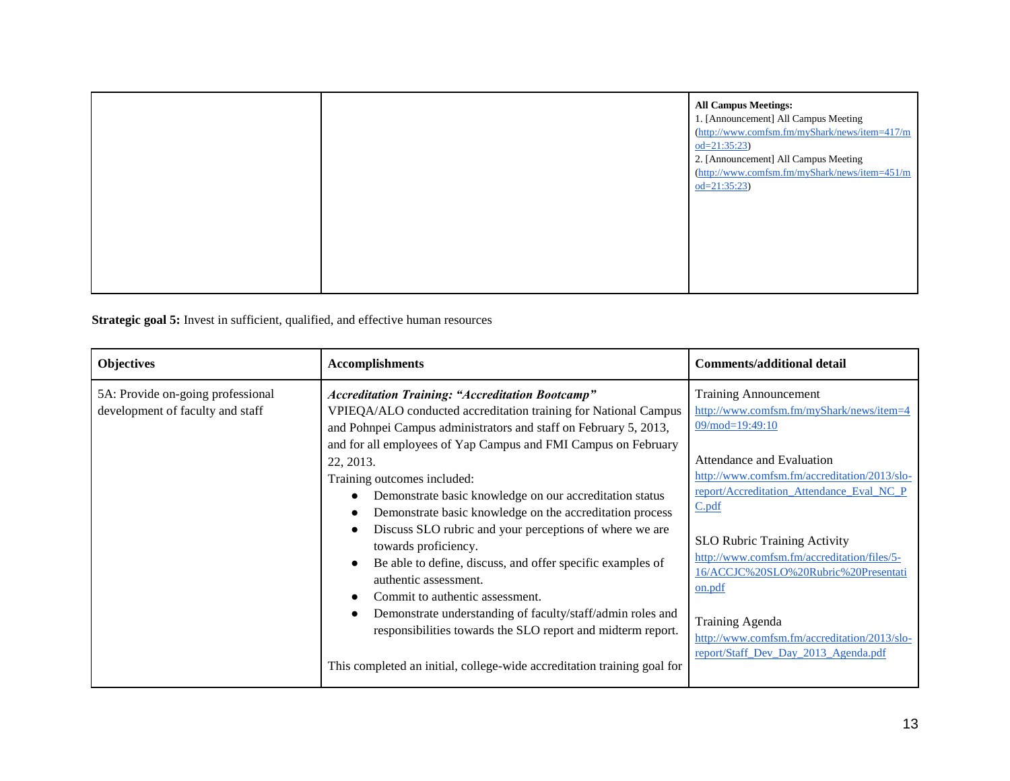|  | <b>All Campus Meetings:</b><br>1. [Announcement] All Campus Meeting<br>(http://www.comfsm.fm/myShark/news/item=417/m<br>$od=21:35:23$<br>2. [Announcement] All Campus Meeting<br>(http://www.comfsm.fm/myShark/news/item=451/m<br>$od=21:35:23$ |
|--|-------------------------------------------------------------------------------------------------------------------------------------------------------------------------------------------------------------------------------------------------|
|  |                                                                                                                                                                                                                                                 |

**Strategic goal 5:** Invest in sufficient, qualified, and effective human resources

| <b>Objectives</b>                                                     | <b>Accomplishments</b>                                                                                                                                                                                                                                                                                                                                                                                                                                                                                                                                                                                                                                                                                                                                                                                                                                   | <b>Comments/additional detail</b>                                                                                                                                                                                                                                                                                                                                                                                                                                                            |
|-----------------------------------------------------------------------|----------------------------------------------------------------------------------------------------------------------------------------------------------------------------------------------------------------------------------------------------------------------------------------------------------------------------------------------------------------------------------------------------------------------------------------------------------------------------------------------------------------------------------------------------------------------------------------------------------------------------------------------------------------------------------------------------------------------------------------------------------------------------------------------------------------------------------------------------------|----------------------------------------------------------------------------------------------------------------------------------------------------------------------------------------------------------------------------------------------------------------------------------------------------------------------------------------------------------------------------------------------------------------------------------------------------------------------------------------------|
| 5A: Provide on-going professional<br>development of faculty and staff | <b>Accreditation Training: "Accreditation Bootcamp"</b><br>VPIEQA/ALO conducted accreditation training for National Campus<br>and Pohnpei Campus administrators and staff on February 5, 2013,<br>and for all employees of Yap Campus and FMI Campus on February<br>22, 2013.<br>Training outcomes included:<br>Demonstrate basic knowledge on our accreditation status<br>Demonstrate basic knowledge on the accreditation process<br>Discuss SLO rubric and your perceptions of where we are<br>towards proficiency.<br>Be able to define, discuss, and offer specific examples of<br>authentic assessment.<br>Commit to authentic assessment.<br>Demonstrate understanding of faculty/staff/admin roles and<br>responsibilities towards the SLO report and midterm report.<br>This completed an initial, college-wide accreditation training goal for | <b>Training Announcement</b><br>http://www.comfsm.fm/myShark/news/item=4<br>$09/mol = 19:49:10$<br>Attendance and Evaluation<br>http://www.comfsm.fm/accreditation/2013/slo-<br>report/Accreditation_Attendance_Eval_NC_P<br>C.pdf<br><b>SLO Rubric Training Activity</b><br>http://www.comfsm.fm/accreditation/files/5-<br>16/ACCJC%20SLO%20Rubric%20Presentati<br>on.pdf<br><b>Training Agenda</b><br>http://www.comfsm.fm/accreditation/2013/slo-<br>report/Staff Dev Day 2013 Agenda.pdf |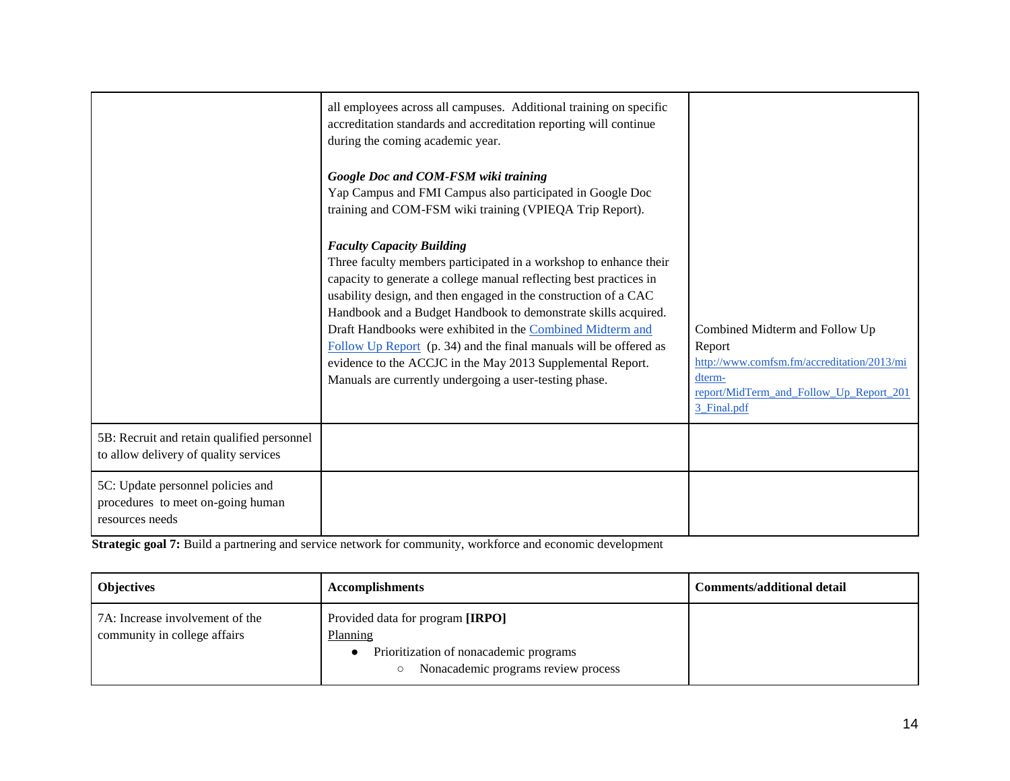|                                                                                           | all employees across all campuses. Additional training on specific<br>accreditation standards and accreditation reporting will continue<br>during the coming academic year.<br>Google Doc and COM-FSM wiki training<br>Yap Campus and FMI Campus also participated in Google Doc<br>training and COM-FSM wiki training (VPIEQA Trip Report).                                                                                                                                                                                                                                |                                                                                                                                                            |
|-------------------------------------------------------------------------------------------|-----------------------------------------------------------------------------------------------------------------------------------------------------------------------------------------------------------------------------------------------------------------------------------------------------------------------------------------------------------------------------------------------------------------------------------------------------------------------------------------------------------------------------------------------------------------------------|------------------------------------------------------------------------------------------------------------------------------------------------------------|
|                                                                                           | <b>Faculty Capacity Building</b><br>Three faculty members participated in a workshop to enhance their<br>capacity to generate a college manual reflecting best practices in<br>usability design, and then engaged in the construction of a CAC<br>Handbook and a Budget Handbook to demonstrate skills acquired.<br>Draft Handbooks were exhibited in the Combined Midterm and<br>Follow Up Report (p. 34) and the final manuals will be offered as<br>evidence to the ACCJC in the May 2013 Supplemental Report.<br>Manuals are currently undergoing a user-testing phase. | Combined Midterm and Follow Up<br>Report<br>http://www.comfsm.fm/accreditation/2013/mi<br>dterm-<br>report/MidTerm_and_Follow_Up_Report_201<br>3_Final.pdf |
| 5B: Recruit and retain qualified personnel<br>to allow delivery of quality services       |                                                                                                                                                                                                                                                                                                                                                                                                                                                                                                                                                                             |                                                                                                                                                            |
| 5C: Update personnel policies and<br>procedures to meet on-going human<br>resources needs |                                                                                                                                                                                                                                                                                                                                                                                                                                                                                                                                                                             |                                                                                                                                                            |

**Strategic goal 7:** Build a partnering and service network for community, workforce and economic development

| <b>Objectives</b>                                               | <b>Accomplishments</b>                                                                                                        | <b>Comments/additional detail</b> |
|-----------------------------------------------------------------|-------------------------------------------------------------------------------------------------------------------------------|-----------------------------------|
| 7A: Increase involvement of the<br>community in college affairs | Provided data for program [IRPO]<br>Planning<br>Prioritization of nonacademic programs<br>Nonacademic programs review process |                                   |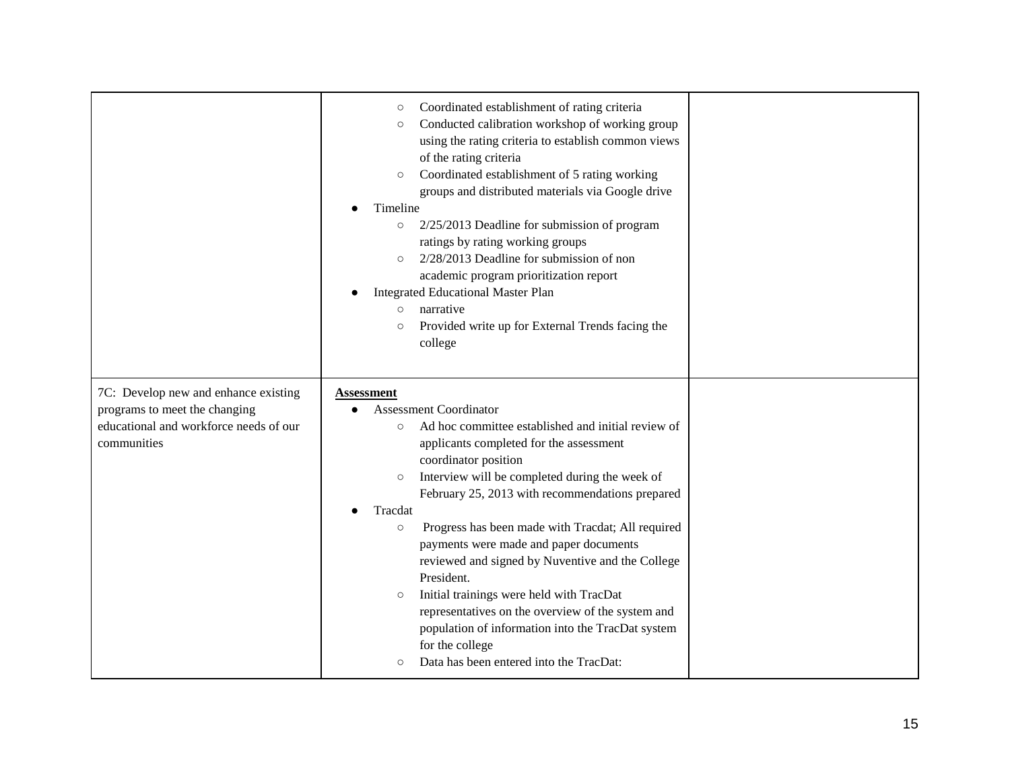|                                        | Coordinated establishment of rating criteria<br>$\circ$       |  |
|----------------------------------------|---------------------------------------------------------------|--|
|                                        | Conducted calibration workshop of working group<br>$\circ$    |  |
|                                        | using the rating criteria to establish common views           |  |
|                                        | of the rating criteria                                        |  |
|                                        | Coordinated establishment of 5 rating working<br>$\circ$      |  |
|                                        | groups and distributed materials via Google drive             |  |
|                                        | Timeline                                                      |  |
|                                        | 2/25/2013 Deadline for submission of program<br>$\circ$       |  |
|                                        | ratings by rating working groups                              |  |
|                                        | 2/28/2013 Deadline for submission of non<br>$\circ$           |  |
|                                        | academic program prioritization report                        |  |
|                                        | <b>Integrated Educational Master Plan</b>                     |  |
|                                        | narrative<br>$\circ$                                          |  |
|                                        | Provided write up for External Trends facing the<br>$\circ$   |  |
|                                        | college                                                       |  |
|                                        |                                                               |  |
|                                        |                                                               |  |
| 7C: Develop new and enhance existing   | <b>Assessment</b>                                             |  |
| programs to meet the changing          | <b>Assessment Coordinator</b>                                 |  |
| educational and workforce needs of our | Ad hoc committee established and initial review of<br>$\circ$ |  |
| communities                            | applicants completed for the assessment                       |  |
|                                        | coordinator position                                          |  |
|                                        | Interview will be completed during the week of<br>$\circ$     |  |
|                                        | February 25, 2013 with recommendations prepared               |  |
|                                        | Tracdat                                                       |  |
|                                        | Progress has been made with Tracdat; All required<br>$\circ$  |  |
|                                        | payments were made and paper documents                        |  |
|                                        | reviewed and signed by Nuventive and the College              |  |
|                                        | President.                                                    |  |
|                                        | Initial trainings were held with TracDat<br>$\circ$           |  |
|                                        | representatives on the overview of the system and             |  |
|                                        | population of information into the TracDat system             |  |
|                                        |                                                               |  |
|                                        | for the college                                               |  |
|                                        | Data has been entered into the TracDat:<br>$\circ$            |  |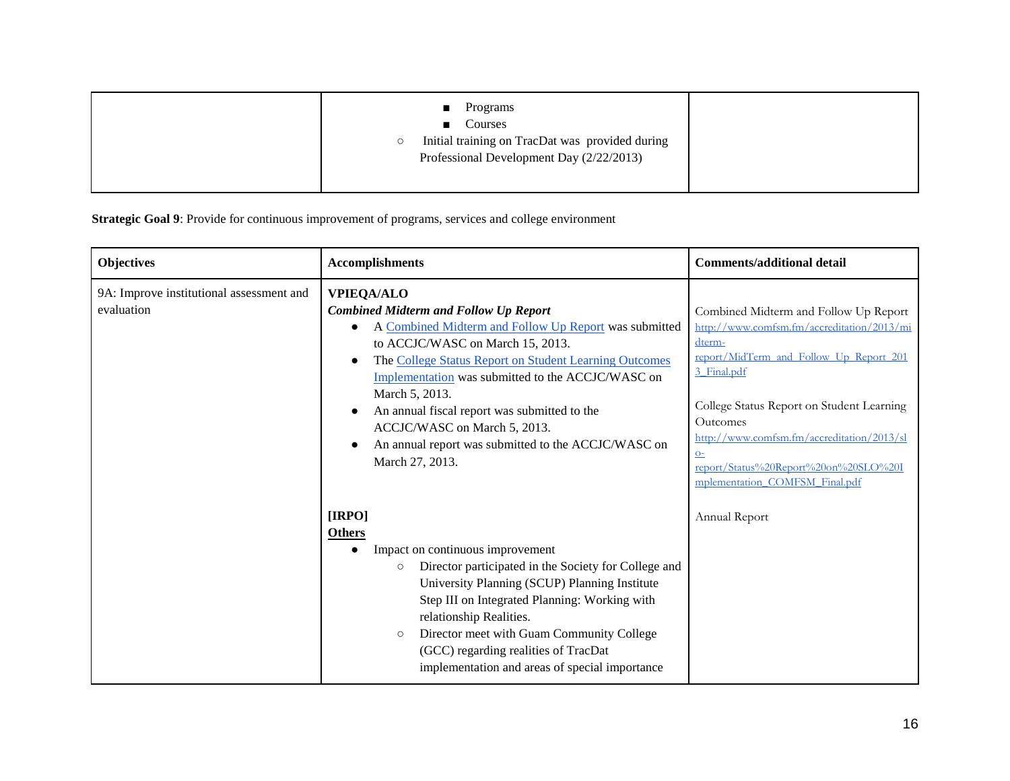| Programs<br>$\blacksquare$<br>Courses<br>$\blacksquare$<br>Initial training on TracDat was provided during<br>$\circ$<br>Professional Development Day (2/22/2013) |  |
|-------------------------------------------------------------------------------------------------------------------------------------------------------------------|--|
|                                                                                                                                                                   |  |

**Strategic Goal 9**: Provide for continuous improvement of programs, services and college environment

| <b>Objectives</b>                                      | <b>Accomplishments</b>                                                                                                                                                                                                                                                                                                                                                                                                                                                 | <b>Comments/additional detail</b>                                                                                                                                                                                                                                                                                                                 |
|--------------------------------------------------------|------------------------------------------------------------------------------------------------------------------------------------------------------------------------------------------------------------------------------------------------------------------------------------------------------------------------------------------------------------------------------------------------------------------------------------------------------------------------|---------------------------------------------------------------------------------------------------------------------------------------------------------------------------------------------------------------------------------------------------------------------------------------------------------------------------------------------------|
| 9A: Improve institutional assessment and<br>evaluation | <b>VPIEQA/ALO</b><br><b>Combined Midterm and Follow Up Report</b><br>A Combined Midterm and Follow Up Report was submitted<br>to ACCJC/WASC on March 15, 2013.<br>The College Status Report on Student Learning Outcomes<br>$\bullet$<br>Implementation was submitted to the ACCJC/WASC on<br>March 5, 2013.<br>An annual fiscal report was submitted to the<br>ACCJC/WASC on March 5, 2013.<br>An annual report was submitted to the ACCJC/WASC on<br>March 27, 2013. | Combined Midterm and Follow Up Report<br>http://www.comfsm.fm/accreditation/2013/mi<br>dterm-<br>report/MidTerm and Follow Up Report 201<br>3 Final.pdf<br>College Status Report on Student Learning<br>Outcomes<br>http://www.comfsm.fm/accreditation/2013/sl<br>$Q=$<br>report/Status%20Report%20on%20SLO%20I<br>mplementation COMFSM Final.pdf |
|                                                        | [IRPO]<br><b>Others</b><br>Impact on continuous improvement<br>Director participated in the Society for College and<br>$\circ$<br>University Planning (SCUP) Planning Institute<br>Step III on Integrated Planning: Working with<br>relationship Realities.<br>Director meet with Guam Community College<br>$\circ$<br>(GCC) regarding realities of TracDat<br>implementation and areas of special importance                                                          | Annual Report                                                                                                                                                                                                                                                                                                                                     |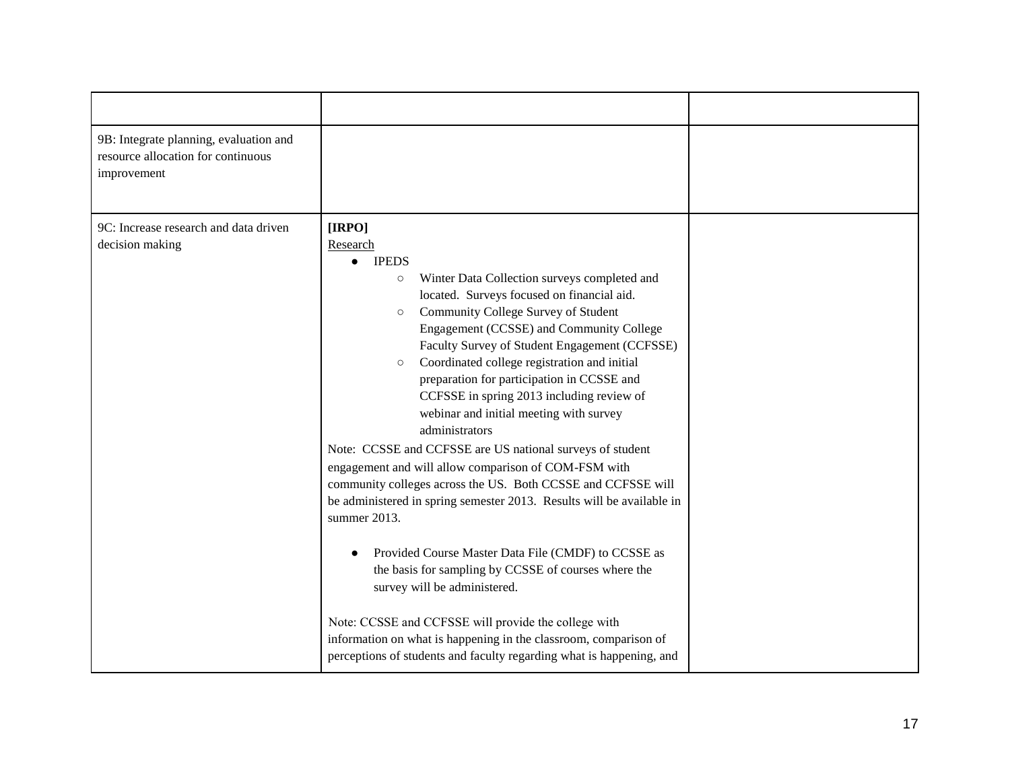| 9B: Integrate planning, evaluation and<br>resource allocation for continuous<br>improvement |                                                                                                                                                                                                                                                                                                                                                                                                                                                                                                                                                                                                                                                                                                                                                                                                                                                                                                                                                                                                    |  |
|---------------------------------------------------------------------------------------------|----------------------------------------------------------------------------------------------------------------------------------------------------------------------------------------------------------------------------------------------------------------------------------------------------------------------------------------------------------------------------------------------------------------------------------------------------------------------------------------------------------------------------------------------------------------------------------------------------------------------------------------------------------------------------------------------------------------------------------------------------------------------------------------------------------------------------------------------------------------------------------------------------------------------------------------------------------------------------------------------------|--|
| 9C: Increase research and data driven<br>decision making                                    | [IRPO]<br>Research<br><b>IPEDS</b><br>Winter Data Collection surveys completed and<br>$\circ$<br>located. Surveys focused on financial aid.<br>Community College Survey of Student<br>$\circ$<br>Engagement (CCSSE) and Community College<br>Faculty Survey of Student Engagement (CCFSSE)<br>Coordinated college registration and initial<br>$\circ$<br>preparation for participation in CCSSE and<br>CCFSSE in spring 2013 including review of<br>webinar and initial meeting with survey<br>administrators<br>Note: CCSSE and CCFSSE are US national surveys of student<br>engagement and will allow comparison of COM-FSM with<br>community colleges across the US. Both CCSSE and CCFSSE will<br>be administered in spring semester 2013. Results will be available in<br>summer 2013.<br>Provided Course Master Data File (CMDF) to CCSSE as<br>the basis for sampling by CCSSE of courses where the<br>survey will be administered.<br>Note: CCSSE and CCFSSE will provide the college with |  |
|                                                                                             | information on what is happening in the classroom, comparison of<br>perceptions of students and faculty regarding what is happening, and                                                                                                                                                                                                                                                                                                                                                                                                                                                                                                                                                                                                                                                                                                                                                                                                                                                           |  |